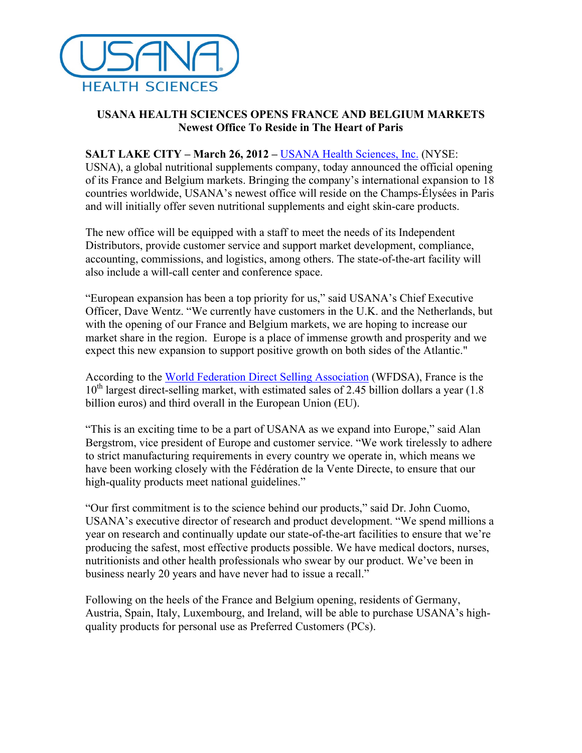

## **USANA HEALTH SCIENCES OPENS FRANCE AND BELGIUM MARKETS Newest Office To Reside in The Heart of Paris**

## **SALT LAKE CITY – March 26, 2012 –** USANA Health Sciences, Inc. (NYSE:

USNA), a global nutritional supplements company, today announced the official opening of its France and Belgium markets. Bringing the company's international expansion to 18 countries worldwide, USANA's newest office will reside on the Champs-Élysées in Paris and will initially offer seven nutritional supplements and eight skin-care products.

The new office will be equipped with a staff to meet the needs of its Independent Distributors, provide customer service and support market development, compliance, accounting, commissions, and logistics, among others. The state-of-the-art facility will also include a will-call center and conference space.

"European expansion has been a top priority for us," said USANA's Chief Executive Officer, Dave Wentz. "We currently have customers in the U.K. and the Netherlands, but with the opening of our France and Belgium markets, we are hoping to increase our market share in the region. Europe is a place of immense growth and prosperity and we expect this new expansion to support positive growth on both sides of the Atlantic."

According to the World Federation Direct Selling Association (WFDSA), France is the  $10^{th}$  largest direct-selling market, with estimated sales of 2.45 billion dollars a year (1.8) billion euros) and third overall in the European Union (EU).

"This is an exciting time to be a part of USANA as we expand into Europe," said Alan Bergstrom, vice president of Europe and customer service. "We work tirelessly to adhere to strict manufacturing requirements in every country we operate in, which means we have been working closely with the Fédération de la Vente Directe, to ensure that our high-quality products meet national guidelines."

"Our first commitment is to the science behind our products," said Dr. John Cuomo, USANA's executive director of research and product development. "We spend millions a year on research and continually update our state-of-the-art facilities to ensure that we're producing the safest, most effective products possible. We have medical doctors, nurses, nutritionists and other health professionals who swear by our product. We've been in business nearly 20 years and have never had to issue a recall."

Following on the heels of the France and Belgium opening, residents of Germany, Austria, Spain, Italy, Luxembourg, and Ireland, will be able to purchase USANA's highquality products for personal use as Preferred Customers (PCs).